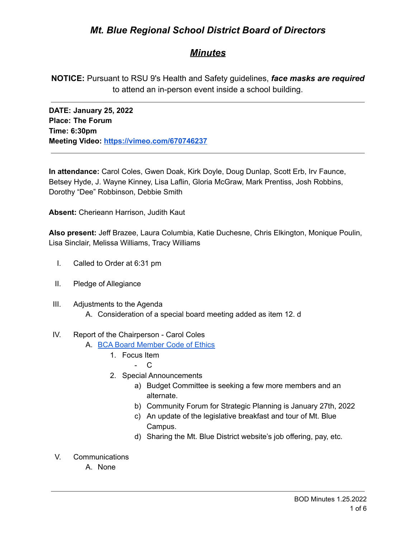# *Mt. Blue Regional School District Board of Directors*

## *Minutes*

**NOTICE:** Pursuant to RSU 9's Health and Safety guidelines, *face masks are required* to attend an in-person event inside a school building.

**DATE: January 25, 2022 Place: The Forum Time: 6:30pm Meeting Video: <https://vimeo.com/670746237>**

**In attendance:** Carol Coles, Gwen Doak, Kirk Doyle, Doug Dunlap, Scott Erb, Irv Faunce, Betsey Hyde, J. Wayne Kinney, Lisa Laflin, Gloria McGraw, Mark Prentiss, Josh Robbins, Dorothy "Dee" Robbinson, Debbie Smith

**Absent:** Cherieann Harrison, Judith Kaut

**Also present:** Jeff Brazee, Laura Columbia, Katie Duchesne, Chris Elkington, Monique Poulin, Lisa Sinclair, Melissa Williams, Tracy Williams

- I. Called to Order at 6:31 pm
- II. Pledge of Allegiance
- III. Adjustments to the Agenda
	- A. Consideration of a special board meeting added as item 12. d

### IV. Report of the Chairperson - Carol Coles

- A. BCA Board [Member](https://cdn.branchcms.com/yeQ4XpK43n-1155/docs/district/board-of-directors/policy-manual/section-b/BCA-Board-Member-Code-of-Ethics.pdf) Code of Ethics
	- 1. Focus Item
		- C
	- 2. Special Announcements
		- a) Budget Committee is seeking a few more members and an alternate.
		- b) Community Forum for Strategic Planning is January 27th, 2022
		- c) An update of the legislative breakfast and tour of Mt. Blue Campus.
		- d) Sharing the Mt. Blue District website's job offering, pay, etc.
- V. Communications
	- A. None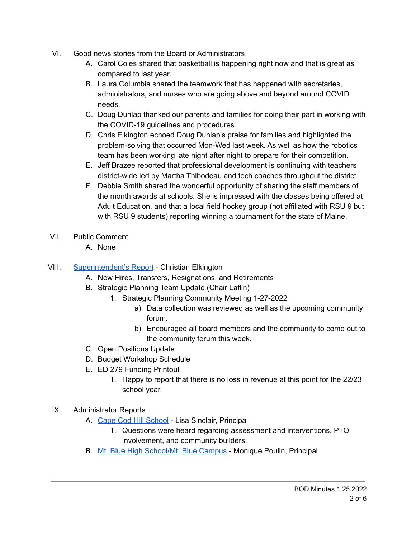- VI. Good news stories from the Board or Administrators
	- A. Carol Coles shared that basketball is happening right now and that is great as compared to last year.
	- B. Laura Columbia shared the teamwork that has happened with secretaries, administrators, and nurses who are going above and beyond around COVID needs.
	- C. Doug Dunlap thanked our parents and families for doing their part in working with the COVID-19 guidelines and procedures.
	- D. Chris Elkington echoed Doug Dunlap's praise for families and highlighted the problem-solving that occurred Mon-Wed last week. As well as how the robotics team has been working late night after night to prepare for their competition.
	- E. Jeff Brazee reported that professional development is continuing with teachers district-wide led by Martha Thibodeau and tech coaches throughout the district.
	- F. Debbie Smith shared the wonderful opportunity of sharing the staff members of the month awards at schools. She is impressed with the classes being offered at Adult Education, and that a local field hockey group (not affiliated with RSU 9 but with RSU 9 students) reporting winning a tournament for the state of Maine.
- VII. Public Comment
	- A. None
- VIII. [Superintendent's](https://drive.google.com/file/d/11j4C6G24EZaJwZpKbvFHfXGORMCavtCN/view?usp=sharing) Report Christian Elkington
	- A. New Hires, Transfers, Resignations, and Retirements
	- B. Strategic Planning Team Update (Chair Laflin)
		- 1. Strategic Planning Community Meeting 1-27-2022
			- a) Data collection was reviewed as well as the upcoming community forum.
			- b) Encouraged all board members and the community to come out to the community forum this week.
	- C. Open Positions Update
	- D. Budget Workshop Schedule
	- E. ED 279 Funding Printout
		- 1. Happy to report that there is no loss in revenue at this point for the 22/23 school year.
	- IX. Administrator Reports
		- A. Cape Cod Hill [School](https://drive.google.com/file/d/1diIgIPZmj1mAFNCEPanGq1TOuZGSuDh-/view?usp=sharing) Lisa Sinclair, Principal
			- 1. Questions were heard regarding assessment and interventions, PTO involvement, and community builders.
		- B. Mt. Blue High [School/Mt.](https://drive.google.com/file/d/10yTiThMTaT7eaBuBMtEVmnPNjLfVfJxZ/view?usp=sharing) Blue Campus Monique Poulin, Principal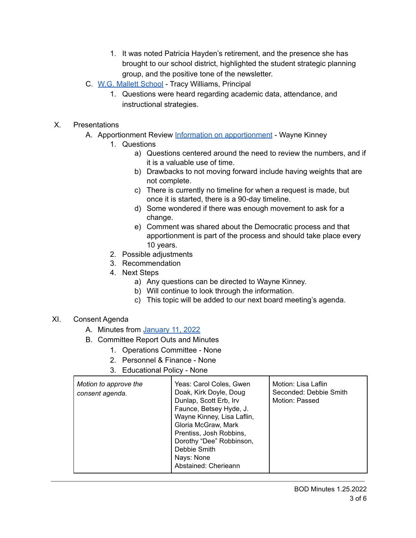- 1. It was noted Patricia Hayden's retirement, and the presence she has brought to our school district, highlighted the student strategic planning group, and the positive tone of the newsletter.
- C. W.G. Mallett [School](https://drive.google.com/file/d/1ssW3UTLl8lSci5-FJJM6y3MKfaTaYY14/view?usp=sharing) Tracy Williams, Principal
	- 1. Questions were heard regarding academic data, attendance, and instructional strategies.
- X. Presentations
	- A. Apportionment Review Information on [apportionment](https://drive.google.com/file/d/1JCvPqYV0n4BsGuIEdvDvnZn2cAV20mET/view?usp=sharing) Wayne Kinney
		- 1. Questions
			- a) Questions centered around the need to review the numbers, and if it is a valuable use of time.
			- b) Drawbacks to not moving forward include having weights that are not complete.
			- c) There is currently no timeline for when a request is made, but once it is started, there is a 90-day timeline.
			- d) Some wondered if there was enough movement to ask for a change.
			- e) Comment was shared about the Democratic process and that apportionment is part of the process and should take place every 10 years.
		- 2. Possible adjustments
		- 3. Recommendation
		- 4. Next Steps
			- a) Any questions can be directed to Wayne Kinney.
			- b) Will continue to look through the information.
			- c) This topic will be added to our next board meeting's agenda.
- XI. Consent Agenda
	- A. Minutes from [January](https://drive.google.com/file/d/1XwFo5N7IhyUad9CMDU6QHr0Zf9qvDklF/view?usp=sharing) 11, 2022
	- B. Committee Report Outs and Minutes
		- 1. Operations Committee None
		- 2. Personnel & Finance None
		- 3. Educational Policy None

| Motion to approve the<br>consent agenda. | Yeas: Carol Coles, Gwen<br>Doak, Kirk Doyle, Doug<br>Dunlap, Scott Erb, Irv<br>Faunce, Betsey Hyde, J.<br>Wayne Kinney, Lisa Laflin,<br>Gloria McGraw, Mark<br>Prentiss, Josh Robbins,<br>Dorothy "Dee" Robbinson,<br>Debbie Smith<br>Nays: None<br>Abstained: Cherieann | Motion: Lisa Laflin<br>Seconded: Debbie Smith<br>Motion: Passed |
|------------------------------------------|--------------------------------------------------------------------------------------------------------------------------------------------------------------------------------------------------------------------------------------------------------------------------|-----------------------------------------------------------------|
|------------------------------------------|--------------------------------------------------------------------------------------------------------------------------------------------------------------------------------------------------------------------------------------------------------------------------|-----------------------------------------------------------------|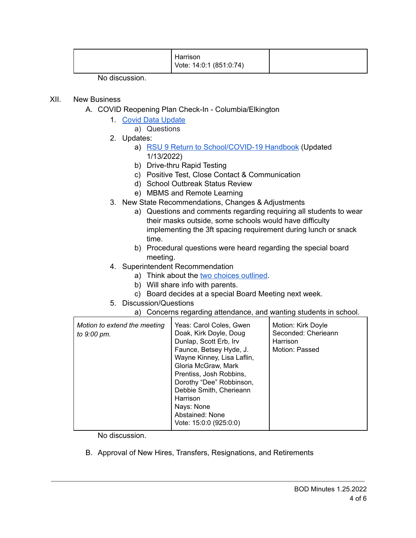|  | Harrison<br>Vote: 14:0:1 (851:0:74) |  |
|--|-------------------------------------|--|
|--|-------------------------------------|--|

No discussion.

### XII. New Business

- A. COVID Reopening Plan Check-In Columbia/Elkington
	- 1. Covid Data [Update](https://drive.google.com/file/d/1Ifw9knhnNkbHCI6E4DE9OFSmNH9XEyx4/view?usp=sharing)
		- a) Questions
	- 2. Updates:
		- a) RSU 9 Return to [School/COVID-19](https://drive.google.com/file/d/1AII6--ramOeH2vQX4scuoJA4ZRvb3BXy/view?usp=sharing) Handbook (Updated 1/13/2022)
		- b) Drive-thru Rapid Testing
		- c) Positive Test, Close Contact & Communication
		- d) School Outbreak Status Review
		- e) MBMS and Remote Learning
	- 3. New State Recommendations, Changes & Adjustments
		- a) Questions and comments regarding requiring all students to wear their masks outside, some schools would have difficulty implementing the 3ft spacing requirement during lunch or snack time.
		- b) Procedural questions were heard regarding the special board meeting.
	- 4. Superintendent Recommendation
		- a) Think about the two choices [outlined.](https://drive.google.com/file/d/1hXBredyB6Igz2W2XTOIIHMtjyMxZ-5Le/view?usp=sharing)
		- b) Will share info with parents.
		- c) Board decides at a special Board Meeting next week.
	- 5. Discussion/Questions
		- a) Concerns regarding attendance, and wanting students in school.

| Motion to extend the meeting<br>to 9:00 pm. | Yeas: Carol Coles, Gwen<br>Doak, Kirk Doyle, Doug<br>Dunlap, Scott Erb, Irv<br>Faunce, Betsey Hyde, J.<br>Wayne Kinney, Lisa Laflin,<br>Gloria McGraw, Mark<br>Prentiss, Josh Robbins,<br>Dorothy "Dee" Robbinson,<br>Debbie Smith, Cherieann<br>Harrison<br>Nays: None<br>Abstained: None | Motion: Kirk Doyle<br>Seconded: Cherieann<br>Harrison<br>Motion: Passed |
|---------------------------------------------|--------------------------------------------------------------------------------------------------------------------------------------------------------------------------------------------------------------------------------------------------------------------------------------------|-------------------------------------------------------------------------|
|                                             | Vote: 15:0:0 (925:0:0)                                                                                                                                                                                                                                                                     |                                                                         |

No discussion.

B. Approval of New Hires, Transfers, Resignations, and Retirements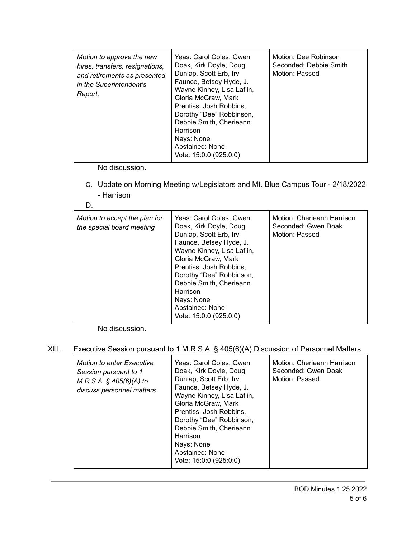| Motion to approve the new<br>hires, transfers, resignations,<br>and retirements as presented<br>in the Superintendent's<br>Report. | Yeas: Carol Coles. Gwen<br>Doak, Kirk Doyle, Doug<br>Dunlap, Scott Erb, Irv<br>Faunce, Betsey Hyde, J.<br>Wayne Kinney, Lisa Laflin,<br>Gloria McGraw, Mark<br>Prentiss, Josh Robbins,<br>Dorothy "Dee" Robbinson,<br>Debbie Smith, Cherieann<br>Harrison<br>Nays: None<br>Abstained: None<br>Vote: 15:0:0 (925:0:0) | Motion: Dee Robinson<br>Seconded: Debbie Smith<br>Motion: Passed |
|------------------------------------------------------------------------------------------------------------------------------------|----------------------------------------------------------------------------------------------------------------------------------------------------------------------------------------------------------------------------------------------------------------------------------------------------------------------|------------------------------------------------------------------|
|------------------------------------------------------------------------------------------------------------------------------------|----------------------------------------------------------------------------------------------------------------------------------------------------------------------------------------------------------------------------------------------------------------------------------------------------------------------|------------------------------------------------------------------|

No discussion.

C. Update on Morning Meeting w/Legislators and Mt. Blue Campus Tour - 2/18/2022 - Harrison

| Motion to accept the plan for<br>the special board meeting | Yeas: Carol Coles, Gwen<br>Doak, Kirk Doyle, Doug<br>Dunlap, Scott Erb, Irv<br>Faunce, Betsey Hyde, J.<br>Wayne Kinney, Lisa Laflin,<br>Gloria McGraw, Mark<br>Prentiss, Josh Robbins,<br>Dorothy "Dee" Robbinson,<br>Debbie Smith, Cherieann<br>Harrison<br>Nays: None<br>Abstained: None<br>Vote: 15:0:0 (925:0:0) | Motion: Cherieann Harrison<br>Seconded: Gwen Doak<br>Motion: Passed |
|------------------------------------------------------------|----------------------------------------------------------------------------------------------------------------------------------------------------------------------------------------------------------------------------------------------------------------------------------------------------------------------|---------------------------------------------------------------------|
|------------------------------------------------------------|----------------------------------------------------------------------------------------------------------------------------------------------------------------------------------------------------------------------------------------------------------------------------------------------------------------------|---------------------------------------------------------------------|

No discussion.

XIII. Executive Session pursuant to 1 M.R.S.A. § 405(6)(A) Discussion of Personnel Matters

| <b>Motion to enter Executive</b><br>Session pursuant to 1<br>$M.R.S.A.$ § 405(6)(A) to<br>discuss personnel matters. | Yeas: Carol Coles, Gwen<br>Doak, Kirk Doyle, Doug<br>Dunlap, Scott Erb, Irv<br>Faunce, Betsey Hyde, J.<br>Wayne Kinney, Lisa Laflin,<br>Gloria McGraw, Mark<br>Prentiss, Josh Robbins,<br>Dorothy "Dee" Robbinson,<br>Debbie Smith, Cherieann<br>Harrison<br>Nays: None<br>Abstained: None<br>Vote: 15:0:0 (925:0:0) | Motion: Cherieann Harrison<br>Seconded: Gwen Doak<br>Motion: Passed |
|----------------------------------------------------------------------------------------------------------------------|----------------------------------------------------------------------------------------------------------------------------------------------------------------------------------------------------------------------------------------------------------------------------------------------------------------------|---------------------------------------------------------------------|
|----------------------------------------------------------------------------------------------------------------------|----------------------------------------------------------------------------------------------------------------------------------------------------------------------------------------------------------------------------------------------------------------------------------------------------------------------|---------------------------------------------------------------------|